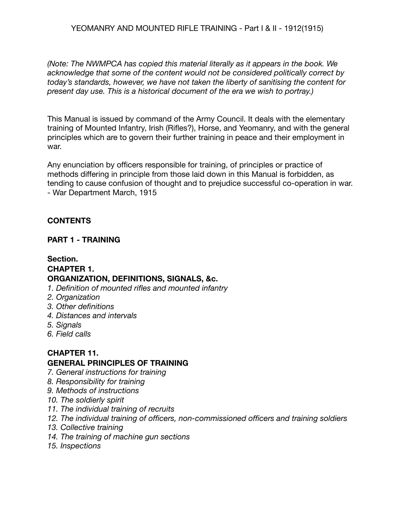YEOMANRY AND MOUNTED RIFLE TRAINING - Part I & II - 1912(1915)

*(Note: The NWMPCA has copied this material literally as it appears in the book. We acknowledge that some of the content would not be considered politically correct by today's standards, however, we have not taken the liberty of sanitising the content for present day use. This is a historical document of the era we wish to portray.)*

This Manual is issued by command of the Army Council. It deals with the elementary training of Mounted Infantry, Irish (Rifles?), Horse, and Yeomanry, and with the general principles which are to govern their further training in peace and their employment in war.

Any enunciation by officers responsible for training, of principles or practice of methods differing in principle from those laid down in this Manual is forbidden, as tending to cause confusion of thought and to prejudice successful co-operation in war. - War Department March, 1915

## **CONTENTS**

### **PART 1 - TRAINING**

# **Section. CHAPTER 1. ORGANIZATION, DEFINITIONS, SIGNALS, &c.**

- *1. Definition of mounted rifles and mounted infantry*
- *2. Organization*
- *3. Other definitions*
- *4. Distances and intervals*
- *5. Signals*
- *6. Field calls*

#### **CHAPTER 11. GENERAL PRINCIPLES OF TRAINING**

- *7. General instructions for training*
- *8. Responsibility for training*
- *9. Methods of instructions*
- *10. The soldierly spirit*
- *11. The individual training of recruits*
- *12. The individual training of officers, non-commissioned officers and training soldiers*
- *13. Collective training*
- *14. The training of machine gun sections*
- *15. Inspections*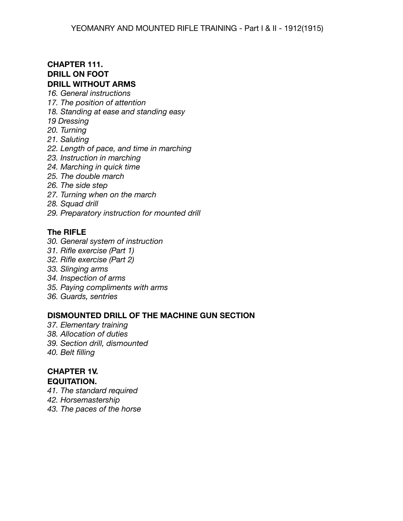### **CHAPTER 111. DRILL ON FOOT DRILL WITHOUT ARMS**

- *16. General instructions*
- *17. The position of attention*
- *18. Standing at ease and standing easy*
- *19 Dressing*
- *20. Turning*
- *21. Saluting*
- *22. Length of pace, and time in marching*
- *23. Instruction in marching*
- *24. Marching in quick time*
- *25. The double march*
- *26. The side step*
- *27. Turning when on the march*
- *28. Squad drill*
- *29. Preparatory instruction for mounted drill*

### **The RIFLE**

- *30. General system of instruction*
- *31. Rifle exercise (Part 1)*
- *32. Rifle exercise (Part 2)*
- *33. Slinging arms*
- *34. Inspection of arms*
- *35. Paying compliments with arms*
- *36. Guards, sentries*

### **DISMOUNTED DRILL OF THE MACHINE GUN SECTION**

- *37. Elementary training*
- *38. Allocation of duties*
- *39. Section drill, dismounted*
- *40. Belt filling*

### **CHAPTER 1V. EQUITATION.**

- *41. The standard required*
- *42. Horsemastership*
- *43. The paces of the horse*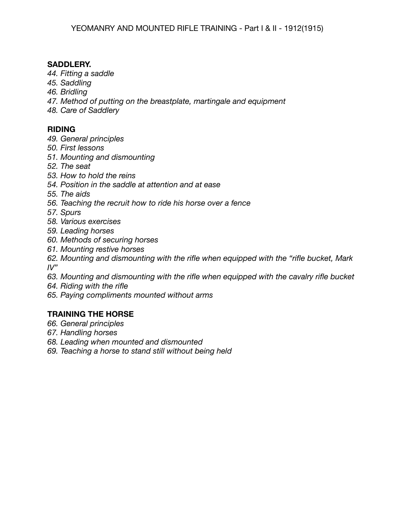### **SADDLERY.**

- *44. Fitting a saddle*
- *45. Saddling*
- *46. Bridling*
- *47. Method of putting on the breastplate, martingale and equipment*
- *48. Care of Saddlery*

## **RIDING**

- *49. General principles*
- *50. First lessons*
- *51. Mounting and dismounting*
- *52. The seat*
- *53. How to hold the reins*
- *54. Position in the saddle at attention and at ease*
- *55. The aids*
- *56. Teaching the recruit how to ride his horse over a fence*
- *57. Spurs*
- *58. Various exercises*
- *59. Leading horses*
- *60. Methods of securing horses*
- *61. Mounting restive horses*
- *62. Mounting and dismounting with the rifle when equipped with the "rifle bucket, Mark IV"*
- *63. Mounting and dismounting with the rifle when equipped with the cavalry rifle bucket*
- *64. Riding with the rifle*
- *65. Paying compliments mounted without arms*

## **TRAINING THE HORSE**

- *66. General principles*
- *67. Handling horses*
- *68. Leading when mounted and dismounted*
- *69. Teaching a horse to stand still without being held*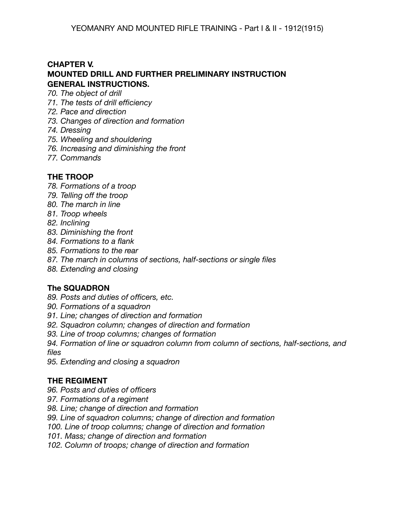## **CHAPTER V. MOUNTED DRILL AND FURTHER PRELIMINARY INSTRUCTION GENERAL INSTRUCTIONS.**

- *70. The object of drill*
- *71. The tests of drill efficiency*
- *72. Pace and direction*
- *73. Changes of direction and formation*
- *74. Dressing*
- *75. Wheeling and shouldering*
- *76. Increasing and diminishing the front*
- *77. Commands*

# **THE TROOP**

- *78. Formations of a troop*
- *79. Telling off the troop*
- *80. The march in line*
- *81. Troop wheels*
- *82. Inclining*
- *83. Diminishing the front*
- *84. Formations to a flank*
- *85. Formations to the rear*
- *87. The march in columns of sections, half-sections or single files*
- *88. Extending and closing*

## **The SQUADRON**

- *89. Posts and duties of officers, etc.*
- *90. Formations of a squadron*
- *91. Line; changes of direction and formation*
- *92. Squadron column; changes of direction and formation*
- *93. Line of troop columns; changes of formation*
- *94. Formation of line or squadron column from column of sections, half-sections, and files*
- *95. Extending and closing a squadron*

## **THE REGIMENT**

- *96. Posts and duties of officers*
- *97. Formations of a regiment*
- *98. Line; change of direction and formation*
- *99. Line of squadron columns; change of direction and formation*
- *100. Line of troop columns; change of direction and formation*
- *101. Mass; change of direction and formation*
- *102. Column of troops; change of direction and formation*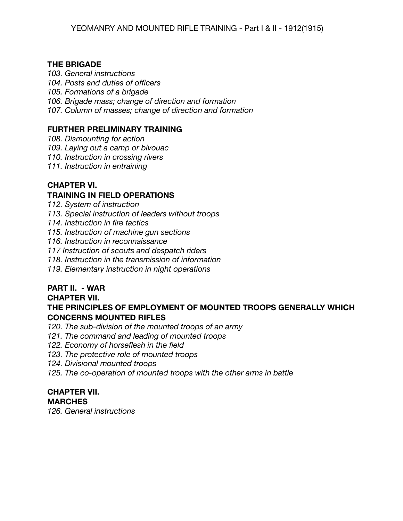### **THE BRIGADE**

*103. General instructions*

*104. Posts and duties of officers*

*105. Formations of a brigade*

*106. Brigade mass; change of direction and formation*

*107. Column of masses; change of direction and formation*

# **FURTHER PRELIMINARY TRAINING**

*108. Dismounting for action*

*109. Laying out a camp or bivouac*

*110. Instruction in crossing rivers*

*111. Instruction in entraining*

# **CHAPTER VI.**

# **TRAINING IN FIELD OPERATIONS**

*112. System of instruction*

*113. Special instruction of leaders without troops*

*114. Instruction in fire tactics*

*115. Instruction of machine gun sections*

*116. Instruction in reconnaissance*

*117 Instruction of scouts and despatch riders*

*118. Instruction in the transmission of information*

*119. Elementary instruction in night operations*

# **PART II. - WAR**

## **CHAPTER VII.**

# **THE PRINCIPLES OF EMPLOYMENT OF MOUNTED TROOPS GENERALLY WHICH CONCERNS MOUNTED RIFLES**

*120. The sub-division of the mounted troops of an army*

*121. The command and leading of mounted troops*

*122. Economy of horseflesh in the field*

*123. The protective role of mounted troops*

*124. Divisional mounted troops*

*125. The co-operation of mounted troops with the other arms in battle*

#### **CHAPTER VII. MARCHES**

*126. General instructions*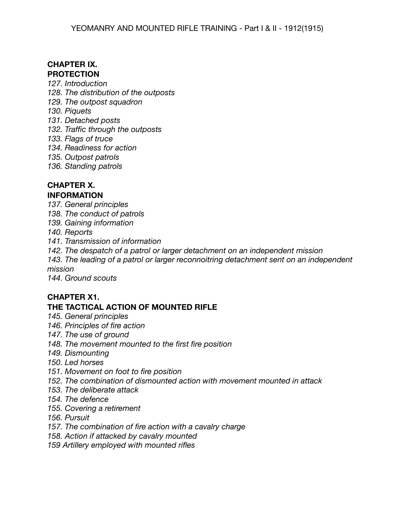# **CHAPTER IX. PROTECTION**

- *127. Introduction*
- *128. The distribution of the outposts*
- *129. The outpost squadron*
- *130. Piquets*
- *131. Detached posts*
- *132. Traffic through the outposts*
- *133. Flags of truce*
- *134. Readiness for action*
- *135. Outpost patrols*
- *136. Standing patrols*

# **CHAPTER X.**

### **INFORMATION**

- *137. General principles*
- *138. The conduct of patrols*
- *139. Gaining information*
- *140. Reports*
- *141. Transmission of information*
- *142. The despatch of a patrol or larger detachment on an independent mission*
- *143. The leading of a patrol or larger reconnoitring detachment sent on an independent mission*

*144. Ground scouts*

### **CHAPTER X1.**

### **THE TACTICAL ACTION OF MOUNTED RIFLE**

- *145. General principles*
- *146. Principles of fire action*
- *147. The use of ground*
- *148. The movement mounted to the first fire position*
- *149. Dismounting*
- *150. Led horses*
- *151. Movement on foot to fire position*
- *152. The combination of dismounted action with movement mounted in attack*
- *153. The deliberate attack*
- *154. The defence*
- *155. Covering a retirement*
- *156. Pursuit*
- *157. The combination of fire action with a cavalry charge*
- *158. Action if attacked by cavalry mounted*
- *159 Artillery employed with mounted rifles*